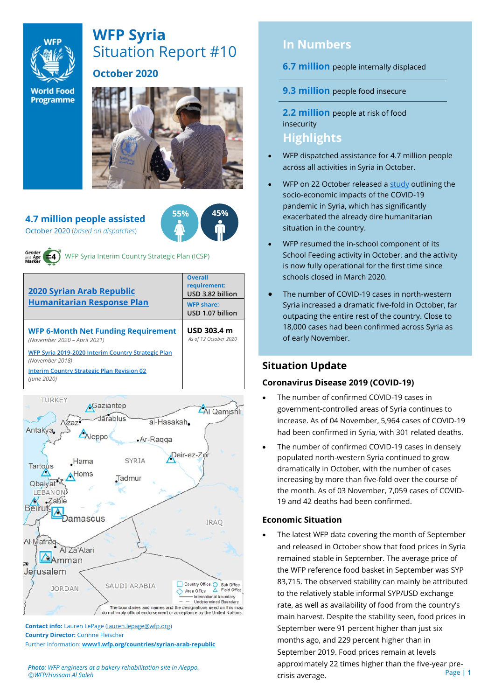

# **WFP Syria** Situation Report #10

**World Food Programme** 

#### **October 2020**



**55% 45%**

# **4.7 million people assisted**

October 2020 (*based on dispatches*)



WFP Syria Interim Country Strategic Plan (ICSP)

| <b>2020 Syrian Arab Republic</b>                                           | <b>Overall</b><br>requirement:<br>USD 3.82 billion |
|----------------------------------------------------------------------------|----------------------------------------------------|
| <b>Humanitarian Response Plan</b>                                          | <b>WFP share:</b><br>USD 1.07 billion              |
| <b>WFP 6-Month Net Funding Requirement</b><br>(November 2020 - April 2021) | USD 303.4 m<br>As of 12 October 2020               |
| WFP Syria 2019-2020 Interim Country Strategic Plan<br>(November 2018)      |                                                    |
| <b>Interim Country Strategic Plan Revision 02</b><br>(lune 2020)           |                                                    |



**Contact info:** Lauren LePage [\(lauren.lepage@wfp.org\)](mailto:lauren.lepage@wfp.org) **Country Director:** Corinne Fleischer Further information: **[www1.wfp.org/countries/syrian-arab-republic](file:///C:/Users/lauren.lepage/AppData/Local/Microsoft/Windows/INetCache/Content.Outlook/HTRVWXQN/www1.wfp.org/countries/syrian-arab-republic)**

*Photo: WFP engineers at a bakery rehabilitation-site in Aleppo. ©WFP/Hussam Al Saleh*

# **In Numbers**

**6.7 million** people internally displaced

**9.3 million** people food insecure

**2.2 million** people at risk of food insecurity **Highlights**

#### • WFP dispatched assistance for 4.7 million people across all activities in Syria in October.

- WFP on 22 October released a [study](https://reliefweb.int/report/syrian-arab-republic/syria-socio-economic-impacts-covid-19-pandemic-october-2020) outlining the socio-economic impacts of the COVID-19 pandemic in Syria, which has significantly exacerbated the already dire humanitarian situation in the country.
- WFP resumed the in-school component of its School Feeding activity in October, and the activity is now fully operational for the first time since schools closed in March 2020.
- The number of COVID-19 cases in north-western Syria increased a dramatic five-fold in October, far outpacing the entire rest of the country. Close to 18,000 cases had been confirmed across Syria as of early November.

## **Situation Update**

#### **Coronavirus Disease 2019 (COVID-19)**

- The number of confirmed COVID-19 cases in government-controlled areas of Syria continues to increase. As of 04 November, 5,964 cases of COVID-19 had been confirmed in Syria, with 301 related deaths.
- The number of confirmed COVID-19 cases in densely populated north-western Syria continued to grow dramatically in October, with the number of cases increasing by more than five-fold over the course of the month. As of 03 November, 7,059 cases of COVID-19 and 42 deaths had been confirmed.

#### **Economic Situation**

Page | **1** The latest WFP data covering the month of September and released in October show that food prices in Syria remained stable in September. The average price of the WFP reference food basket in September was SYP 83,715. The observed stability can mainly be attributed to the relatively stable informal SYP/USD exchange rate, as well as availability of food from the country's main harvest. Despite the stability seen, food prices in September were 91 percent higher than just six months ago, and 229 percent higher than in September 2019. Food prices remain at levels approximately 22 times higher than the five-year precrisis average.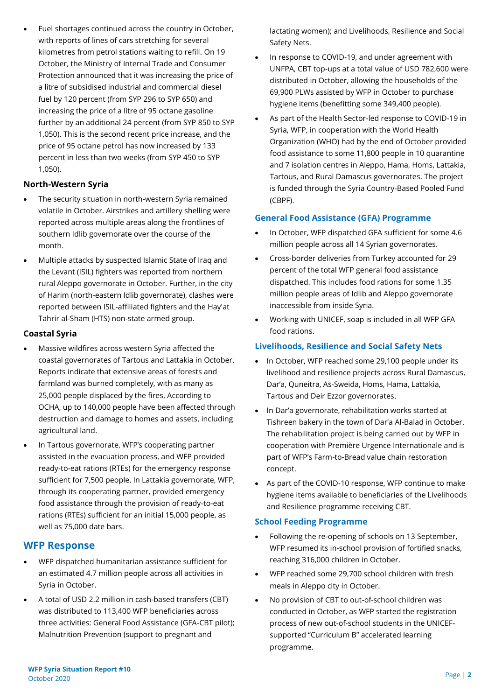- Fuel shortages continued across the country in October, with reports of lines of cars stretching for several kilometres from petrol stations waiting to refill. On 19 October, the Ministry of Internal Trade and Consumer Protection announced that it was increasing the price of a litre of subsidised industrial and commercial diesel fuel by 120 percent (from SYP 296 to SYP 650) and increasing the price of a litre of 95 octane gasoline further by an additional 24 percent (from SYP 850 to SYP 1,050). This is the second recent price increase, and the price of 95 octane petrol has now increased by 133 percent in less than two weeks (from SYP 450 to SYP 1,050). **North-Western Syria**
- 
- The security situation in north-western Syria remained volatile in October. Airstrikes and artillery shelling were reported across multiple areas along the frontlines of southern Idlib governorate over the course of the month.
- Multiple attacks by suspected Islamic State of Iraq and the Levant (ISIL) fighters was reported from northern rural Aleppo governorate in October. Further, in the city of Harim (north-eastern Idlib governorate), clashes were reported between ISIL-affiliated fighters and the Hay'at Tahrir al-Sham (HTS) non-state armed group.

#### **Coastal Syria**

- Massive wildfires across western Syria affected the coastal governorates of Tartous and Lattakia in October. Reports indicate that extensive areas of forests and farmland was burned completely, with as many as 25,000 people displaced by the fires. According to OCHA, up to 140,000 people have been affected through destruction and damage to homes and assets, including agricultural land.
- In Tartous governorate, WFP's cooperating partner assisted in the evacuation process, and WFP provided ready-to-eat rations (RTEs) for the emergency response sufficient for 7,500 people. In Lattakia governorate, WFP, through its cooperating partner, provided emergency food assistance through the provision of ready-to-eat rations (RTEs) sufficient for an initial 15,000 people, as well as 75,000 date bars.

### **WFP Response**

- WFP dispatched humanitarian assistance sufficient for an estimated 4.7 million people across all activities in Syria in October.
- A total of USD 2.2 million in cash-based transfers (CBT) was distributed to 113,400 WFP beneficiaries across three activities: General Food Assistance (GFA-CBT pilot); Malnutrition Prevention (support to pregnant and

lactating women); and Livelihoods, Resilience and Social Safety Nets.

- In response to COVID-19, and under agreement with UNFPA, CBT top-ups at a total value of USD 782,600 were distributed in October, allowing the households of the 69,900 PLWs assisted by WFP in October to purchase hygiene items (benefitting some 349,400 people).
- As part of the Health Sector-led response to COVID-19 in Syria, WFP, in cooperation with the World Health Organization (WHO) had by the end of October provided food assistance to some 11,800 people in 10 quarantine and 7 isolation centres in Aleppo, Hama, Homs, Lattakia, Tartous, and Rural Damascus governorates. The project is funded through the Syria Country-Based Pooled Fund (CBPF).

#### **General Food Assistance (GFA) Programme**

- In October, WFP dispatched GFA sufficient for some 4.6 million people across all 14 Syrian governorates.
- Cross-border deliveries from Turkey accounted for 29 percent of the total WFP general food assistance dispatched. This includes food rations for some 1.35 million people areas of Idlib and Aleppo governorate inaccessible from inside Syria.
- Working with UNICEF, soap is included in all WFP GFA food rations.

#### **Livelihoods, Resilience and Social Safety Nets**

- In October, WFP reached some 29,100 people under its livelihood and resilience projects across Rural Damascus, Dar'a, Quneitra, As-Sweida, Homs, Hama, Lattakia, Tartous and Deir Ezzor governorates.
- In Dar'a governorate, rehabilitation works started at Tishreen bakery in the town of Dar'a Al-Balad in October. The rehabilitation project is being carried out by WFP in cooperation with Première Urgence Internationale and is part of WFP's Farm-to-Bread value chain restoration concept.
- As part of the COVID-10 response, WFP continue to make hygiene items available to beneficiaries of the Livelihoods and Resilience programme receiving CBT.

#### **School Feeding Programme**

- Following the re-opening of schools on 13 September, WFP resumed its in-school provision of fortified snacks, reaching 316,000 children in October.
- WFP reached some 29,700 school children with fresh meals in Aleppo city in October.
- No provision of CBT to out-of-school children was conducted in October, as WFP started the registration process of new out-of-school students in the UNICEFsupported "Curriculum B" accelerated learning programme.